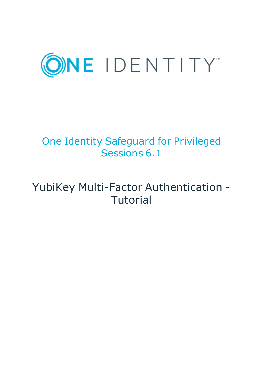

# One Identity Safeguard for Privileged Sessions 6.1

# YubiKey Multi-Factor Authentication - **Tutorial**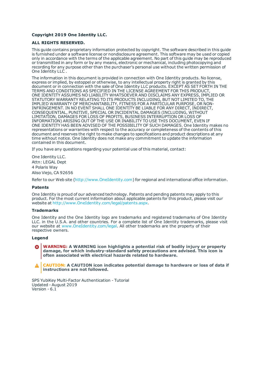#### **Copyright 2019 One Identity LLC.**

#### **ALL RIGHTS RESERVED.**

This guide contains proprietary information protected by copyright. The software described in this guide is furnished under a software license or nondisclosure agreement. This software may be used or copied only in accordance with the terms of the applicable agreement. No part of this guide may be reproduced or transmitted in any form or by any means, electronic or mechanical, including photocopying and recording for any purpose other than the purchaser's personal use without the written permission of One Identity LLC .

The information in this document is provided in connection with One Identity products. No license, express or implied, by estoppel or otherwise, to any intellectual property right is granted by this document or in connection with the sale of One Identity LLC products. EXCEPT AS SET FORTH IN THE TERMS AND CONDITIONS AS SPECIFIED IN THE LICENSE AGREEMENT FOR THIS PRODUCT, ONE IDENTITY ASSUMES NO LIABILITY WHATSOEVER AND DISCLAIMS ANY EXPRESS, IMPLIED OR STATUTORY WARRANTY RELATING TO ITS PRODUCTS INCLUDING, BUT NOT LIMITED TO, THE IMPLIED WARRANTY OF MERCHANTABILITY, FITNESS FOR A PARTICULAR PURPOSE, OR NON-INFRINGEMENT. IN NO EVENT SHALL ONE IDENTITY BE LIABLE FOR ANY DIRECT, INDIRECT, CONSEQUENTIAL, PUNITIVE, SPECIAL OR INCIDENTAL DAMAGES (INCLUDING, WITHOUT LIMITATION, DAMAGES FOR LOSS OF PROFITS, BUSINESS INTERRUPTION OR LOSS OF INFORMATION) ARISING OUT OF THE USE OR INABILITY TO USE THIS DOCUMENT, EVEN IF ONE IDENTITY HAS BEEN ADVISED OF THE POSSIBILITY OF SUCH DAMAGES. One Identity makes no representations or warranties with respect to the accuracy or completeness of the contents of this document and reserves the right to make changes to specifications and product descriptions at any time without notice. One Identity does not make any commitment to update the information contained in this document.

If you have any questions regarding your potential use of this material, contact:

One Identity LLC. Attn: LEGAL Dept 4 Polaris Way Aliso Viejo, CA 92656

Refer to our Web site ([http://www.OneIdentity.com](http://www.oneidentity.com/)) for regional and international office information.

#### **Patents**

One Identity is proud of our advanced technology. Patents and pending patents may apply to this product. For the most current information about applicable patents for this product, please visit our website at [http://www.OneIdentity.com/legal/patents.aspx](http://www.oneidentity.com/legal/patents.aspx).

#### **Trademarks**

One Identity and the One Identity logo are trademarks and registered trademarks of One Identity LLC. in the U.S.A. and other countries. For a complete list of One Identity trademarks, please visit our website at [www.OneIdentity.com/legal](http://www.oneidentity.com/legal). All other trademarks are the property of their respective owners.

#### **Legend**

**WARNING: A WARNING icon highlights a potential risk of bodily injury or property damage, for which industry-standard safety precautions are advised. This icon is often associated with electrical hazards related to hardware.**

**CAUTION: A CAUTION icon indicates potential damage to hardware or loss of data if** A **instructions are not followed.**

SPS YubiKey Multi-Factor Authentication - Tutorial Updated - August 2019 Version - 6.1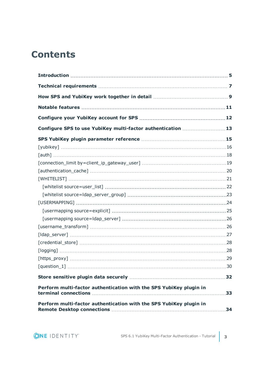# **Contents**

| Configure SPS to use YubiKey multi-factor authentication 13        |    |
|--------------------------------------------------------------------|----|
|                                                                    |    |
|                                                                    |    |
|                                                                    |    |
|                                                                    |    |
|                                                                    |    |
|                                                                    |    |
|                                                                    |    |
|                                                                    |    |
|                                                                    |    |
|                                                                    |    |
|                                                                    |    |
|                                                                    |    |
|                                                                    |    |
|                                                                    |    |
|                                                                    |    |
|                                                                    |    |
|                                                                    |    |
|                                                                    |    |
| Perform multi-factor authentication with the SPS YubiKey plugin in | 33 |
| Perform multi-factor authentication with the SPS YubiKey plugin in |    |

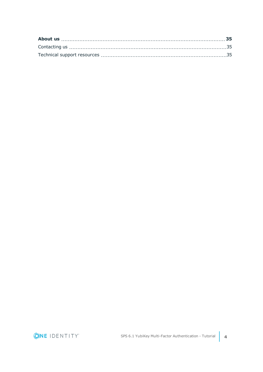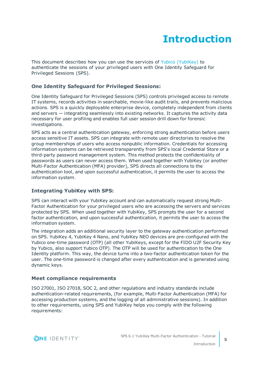# **Introduction**

<span id="page-4-0"></span>This document describes how you can use the services of Yubico [\(YubiKey\)](https://www.yubico.com/) to authenticate the sessions of your privileged users with One Identity Safeguard for Privileged Sessions (SPS).

# **One Identity Safeguard for Privileged Sessions:**

One Identity Safeguard for Privileged Sessions (SPS) controls privileged access to remote IT systems, records activities in searchable, movie-like audit trails, and prevents malicious actions. SPS is a quickly deployable enterprise device, completely independent from clients and servers — integrating seamlessly into existing networks. It captures the activity data necessary for user profiling and enables full user session drill down for forensic investigations.

SPS acts as a central authentication gateway, enforcing strong authentication before users access sensitive IT assets. SPS can integrate with remote user directories to resolve the group memberships of users who access nonpublic information. Credentials for accessing information systems can be retrieved transparently from SPS's local Credential Store or a third-party password management system. This method protects the confidentiality of passwords as users can never access them. When used together with YubiKey (or another Multi-Factor Authentication (MFA) provider), SPS directs all connections to the authentication tool, and upon successful authentication, it permits the user to access the information system.

# **Integrating YubiKey with SPS:**

SPS can interact with your YubiKey account and can automatically request strong Multi-Factor Authentication for your privileged users who are accessing the servers and services protected by SPS. When used together with YubiKey, SPS prompts the user for a second factor authentication, and upon successful authentication, it permits the user to access the information system.

The integration adds an additional security layer to the gateway authentication performed on SPS. YubiKey 4, YubiKey 4 Nano, and YubiKey NEO devices are pre-configured with the Yubico one-time password (OTP) (all other YubiKeys, except for the FIDO U2F Security Key by Yubico, also support Yubico OTP). The OTP will be used for authentication to the One Identity platform. This way, the device turns into a two-factor authentication token for the user. The one-time password is changed after every authentication and is generated using dynamic keys.

# **Meet compliance requirements**

ISO 27001, ISO 27018, SOC 2, and other regulations and industry standards include authentication-related requirements, (for example, Multi-Factor Authentication (MFA) for accessing production systems, and the logging of all administrative sessions). In addition to other requirements, using SPS and YubiKey helps you comply with the following requirements:

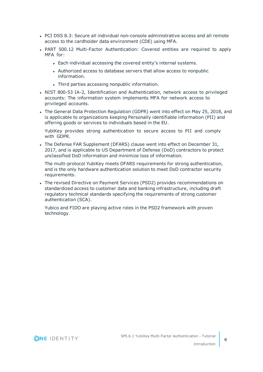- PCI DSS 8.3: Secure all individual non-console administrative access and all remote access to the cardholder data environment (CDE) using MFA.
- PART 500.12 Multi-Factor Authentication: Covered entities are required to apply MFA for:
	- Each individual accessing the covered entity's internal systems.
	- Authorized access to database servers that allow access to nonpublic information.
	- Third parties accessing nonpublic information.
- NIST 800-53 IA-2, Identification and Authentication, network access to privileged accounts: The information system implements MFA for network access to privileged accounts.
- The General Data Protection Regulation (GDPR) went into effect on May 25, 2018, and is applicable to organizations keeping Personally identifiable information (PII) and offering goods or services to individuals based in the EU.

YubiKey provides strong authentication to secure access to PII and comply with GDPR.

• The Defense FAR Supplement (DFARS) clause went into effect on December 31, 2017, and is applicable to US Department of Defense (DoD) contractors to protect unclassified DoD information and minimize loss of information.

The multi-protocol YubiKey meets DFARS requirements for strong authentication, and is the only hardware authentication solution to meet DoD contractor security requirements.

• The revised Directive on Payment Services (PSD2) provides recommendations on standardized access to customer data and banking infrastructure, including draft regulatory technical standards specifying the requirements of strong customer authentication (SCA).

Yubico and FIDO are playing active roles in the PSD2 framework with proven technology.

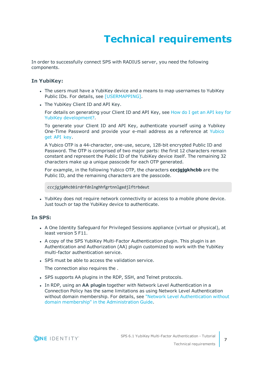# **Technical requirements**

<span id="page-6-0"></span>In order to successfully connect SPS with RADIUS server, you need the following components.

### **In YubiKey:**

- The users must have a YubiKey device and a means to map usernames to YubiKey Public IDs. For details, see [\[USERMAPPING\].](#page-23-0)
- The YubiKey Client ID and API Key.

For details on generating your Client ID and API Key, see [How](https://www.yubico.com/support/knowledge-base/categories/articles/get-api-key-yubikey-development/) do I get an API key for YubiKey [development?.](https://www.yubico.com/support/knowledge-base/categories/articles/get-api-key-yubikey-development/)

To generate your Client ID and API Key, authenticate yourself using a Yubikey One-Time Password and provide your e-mail address as a reference at [Yubico](https://upgrade.yubico.com/getapikey/) get API [key](https://upgrade.yubico.com/getapikey/).

A Yubico OTP is a 44-character, one-use, secure, 128-bit encrypted Public ID and Password. The OTP is comprised of two major parts: the first 12 characters remain constant and represent the Public ID of the YubiKey device itself. The remaining 32 characters make up a unique passcode for each OTP generated.

For example, in the following Yubico OTP, the characters **cccjgjgkhcbb** are the Public ID, and the remaining characters are the passcode.

*cccjgjgkhcbb*irdrfdnlnghhfgrtnnlgedjlftrbdeut

• YubiKey does not require network connectivity or access to a mobile phone device. Just touch or tap the YubiKey device to authenticate.

# **In SPS:**

- A One Identity Safeguard for Privileged Sessions appliance (virtual or physical), at least version 5 F11.
- A copy of the SPS YubiKey Multi-Factor Authentication plugin. This plugin is an Authentication and Authorization (AA) plugin customized to work with the YubiKey multi-factor authentication service.
- SPS must be able to access the validation service.

The connection also requires the .

- SPS supports AA plugins in the RDP, SSH, and Telnet protocols.
- **In RDP, using an AA plugin together with Network Level Authentication in a** Connection Policy has the same limitations as using Network Level Authentication without domain membership. For details, see "Network Level [Authentication](https://support.oneidentity.com/technical-documents/safeguard-for-privileged-sessions/6.1.0/administration-guide/rdp-specific-settings/network-level-authentication-nla-with-one-identity-safeguard-for-privileged-sessions-sps/network-level-authentication-without-domain-membership/) without domain membership" in the [Administration](https://support.oneidentity.com/technical-documents/safeguard-for-privileged-sessions/6.1.0/administration-guide/rdp-specific-settings/network-level-authentication-nla-with-one-identity-safeguard-for-privileged-sessions-sps/network-level-authentication-without-domain-membership/) Guide.

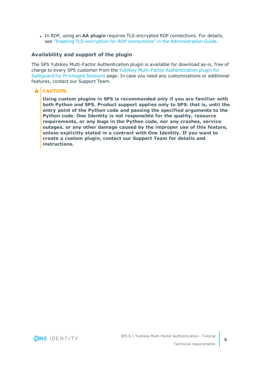**In RDP, using an AA plugin requires TLS-encrypted RDP connections. For details,** see "Enabling [TLS-encryption](https://support.oneidentity.com/technical-documents/safeguard-for-privileged-sessions/6.1.0/administration-guide/rdp-specific-settings/enabling-tls-encryption-for-rdp-connections/) for RDP connections" in the Administration Guide.

### **Availability and support of the plugin**

The SPS YubiKey Multi-Factor Authentication plugin is available for download as-is, free of charge to every SPS customer from the YubiKey Multi-Factor [Authentication](https://github.com/OneIdentity/safeguard-sessions-plugin-yubikey-mfa) plugin for [Safeguard](https://github.com/OneIdentity/safeguard-sessions-plugin-yubikey-mfa) for Privileged Sessions page. In case you need any customizations or additional features, contact our Support Team.

# **A** CAUTION:

**Using custom plugins in SPS is recommended only if you are familiar with both Python and SPS. Product support applies only to SPS: that is, until the entry point of the Python code and passing the specified arguments to the Python code. One Identity is not responsible for the quality, resource requirements, or any bugs in the Python code, nor any crashes, service outages, or any other damage caused by the improper use of this feature, unless explicitly stated in a contract with One Identity. If you want to create a custom plugin, contact our Support Team for details and instructions.**

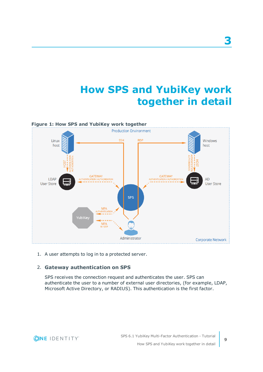# **How SPS and YubiKey work together in detail**

<span id="page-8-0"></span>

1. A user attempts to log in to a protected server.

### 2. **Gateway authentication on SPS**

SPS receives the connection request and authenticates the user. SPS can authenticate the user to a number of external user directories, (for example, LDAP, Microsoft Active Directory, or RADIUS). This authentication is the first factor.

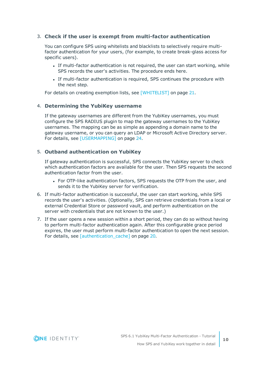### 3. **Check if the user is exempt from multi-factor authentication**

You can configure SPS using whitelists and blacklists to selectively require multifactor authentication for your users, (for example, to create break-glass access for specific users).

- If multi-factor authentication is not required, the user can start working, while SPS records the user's activities. The procedure ends here.
- If multi-factor authentication is required, SPS continues the procedure with the next step.

For details on creating exemption lists, see [\[WHITELIST\]](#page-20-0) on page 21.

#### 4. **Determining the YubiKey username**

If the gateway usernames are different from the YubiKey usernames, you must configure the SPS RADIUS plugin to map the gateway usernames to the YubiKey usernames. The mapping can be as simple as appending a domain name to the gateway username, or you can query an LDAP or Microsoft Active Directory server. For details, see [\[USERMAPPING\]](#page-23-0) on page 24.

### 5. **Outband authentication on YubiKey**

If gateway authentication is successful, SPS connects the YubiKey server to check which authentication factors are available for the user. Then SPS requests the second authentication factor from the user.

- For OTP-like authentication factors, SPS requests the OTP from the user, and sends it to the YubiKey server for verification.
- 6. If multi-factor authentication is successful, the user can start working, while SPS records the user's activities. (Optionally, SPS can retrieve credentials from a local or external Credential Store or password vault, and perform authentication on the server with credentials that are not known to the user.)
- 7. If the user opens a new session within a short period, they can do so without having to perform multi-factor authentication again. After this configurable grace period expires, the user must perform multi-factor authentication to open the next session. For details, see [authentication cache] on page 20.

**ONE IDENTITY**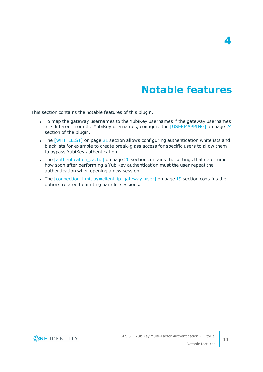# **Notable features**

<span id="page-10-0"></span>This section contains the notable features of this plugin.

- To map the gateway usernames to the YubiKey usernames if the gateway usernames are different from the YubiKey usernames, configure the [\[USERMAPPING\]](#page-23-0) on page 24 section of the plugin.
- The [\[WHITELIST\]](#page-20-0) on page 21 section allows configuring authentication whitelists and blacklists for example to create break-glass access for specific users to allow them to bypass YubiKey authentication.
- The [\[authentication\\_cache\]](#page-19-0) on page 20 section contains the settings that determine how soon after performing a YubiKey authentication must the user repeat the authentication when opening a new session.
- The [connection\_limit [by=client\\_ip\\_gateway\\_user\]](#page-18-0) on page 19 section contains the options related to limiting parallel sessions.

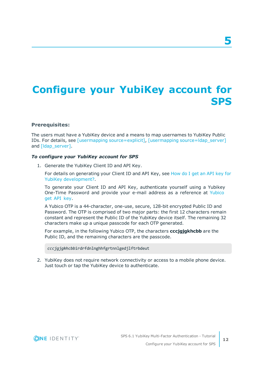# <span id="page-11-0"></span>**Configure your YubiKey account for SPS**

#### **Prerequisites:**

The users must have a YubiKey device and a means to map usernames to YubiKey Public IDs. For details, see [usermapping [source=explicit\]](#page-24-0), [usermapping [source=ldap\\_server\]](#page-25-0) and [Idap\_server].

#### *To configure your YubiKey account for SPS*

1. Generate the YubiKey Client ID and API Key.

For details on generating your Client ID and API Key, see [How](https://www.yubico.com/support/knowledge-base/categories/articles/get-api-key-yubikey-development/) do I get an API key for YubiKey [development?.](https://www.yubico.com/support/knowledge-base/categories/articles/get-api-key-yubikey-development/)

To generate your Client ID and API Key, authenticate yourself using a Yubikey One-Time Password and provide your e-mail address as a reference at [Yubico](https://upgrade.yubico.com/getapikey/) get API [key](https://upgrade.yubico.com/getapikey/).

A Yubico OTP is a 44-character, one-use, secure, 128-bit encrypted Public ID and Password. The OTP is comprised of two major parts: the first 12 characters remain constant and represent the Public ID of the YubiKey device itself. The remaining 32 characters make up a unique passcode for each OTP generated.

For example, in the following Yubico OTP, the characters **cccjgjgkhcbb** are the Public ID, and the remaining characters are the passcode.

*cccjgjgkhcbb*irdrfdnlnghhfgrtnnlgedjlftrbdeut

2. YubiKey does not require network connectivity or access to a mobile phone device. Just touch or tap the YubiKey device to authenticate.

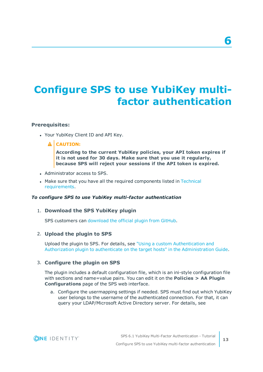# <span id="page-12-0"></span>**Configure SPS to use YubiKey multifactor authentication**

### **Prerequisites:**

• Your YubiKey Client ID and API Key.

### **A** CAUTION:

**According to the current YubiKey policies, your API token expires if it is not used for 30 days. Make sure that you use it regularly, because SPS will reject your sessions if the API token is expired.**

- Administrator access to SPS.
- Make sure that you have all the required components listed in [Technical](#page-6-0) [requirements](#page-6-0).

### *To configure SPS to use YubiKey multi-factor authentication*

### 1. **Download the SPS YubiKey plugin**

SPS customers can [download](https://github.com/OneIdentity/safeguard-sessions-plugin-yubikey-mfa/releases) the official plugin from GitHub.

# 2. **Upload the plugin to SPS**

Upload the plugin to SPS. For details, see "Using a custom [Authentication](https://support.oneidentity.com/technical-documents/safeguard-for-privileged-sessions/6.1.0/administration-guide/advanced-authentication-and-authorization-techniques/integrating-external-authentication-and-authorization-systems/using-a-custom-authentication-and-authorization-plugin-to-authenticate-on-the-target-hosts/) and Authorization plugin to authenticate on the target hosts" in the [Administration](https://support.oneidentity.com/technical-documents/safeguard-for-privileged-sessions/6.1.0/administration-guide/advanced-authentication-and-authorization-techniques/integrating-external-authentication-and-authorization-systems/using-a-custom-authentication-and-authorization-plugin-to-authenticate-on-the-target-hosts/) Guide.

### 3. **Configure the plugin on SPS**

The plugin includes a default configuration file, which is an ini-style configuration file with sections and name=value pairs. You can edit it on the **Policies > AA Plugin Configurations** page of the SPS web interface.

a. Configure the usermapping settings if needed. SPS must find out which YubiKey user belongs to the username of the authenticated connection. For that, it can query your LDAP/Microsoft Active Directory server. For details, see

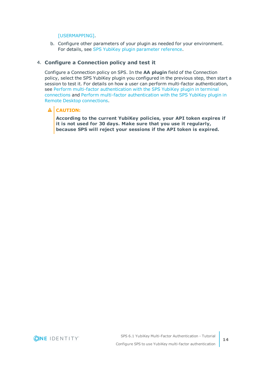#### [\[USERMAPPING\].](#page-23-0)

b. Configure other parameters of your plugin as needed for your environment. For details, see SPS YubiKey plugin [parameter](#page-14-0) reference.

### 4. **Configure a Connection policy and test it**

Configure a Connection policy on SPS. In the **AA plugin** field of the Connection policy, select the SPS YubiKey plugin you configured in the previous step, then start a session to test it. For details on how a user can perform multi-factor authentication, see Perform multi-factor [authentication](#page-32-0) with the SPS YubiKey plugin in terminal [connections](#page-32-0) and Perform multi-factor [authentication](#page-33-0) with the SPS YubiKey plugin in Remote Desktop [connections](#page-33-0).

### **A** CAUTION:

**According to the current YubiKey policies, your API token expires if it is not used for 30 days. Make sure that you use it regularly, because SPS will reject your sessions if the API token is expired.**

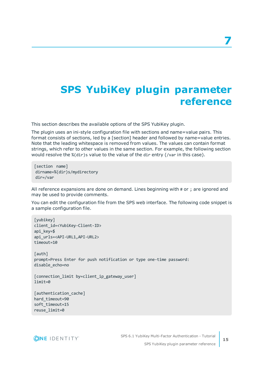# <span id="page-14-0"></span>**SPS YubiKey plugin parameter reference**

This section describes the available options of the SPS YubiKey plugin.

The plugin uses an ini-style configuration file with sections and name=value pairs. This format consists of sections, led by a [section] header and followed by name=value entries. Note that the leading whitespace is removed from values. The values can contain format strings, which refer to other values in the same section. For example, the following section would resolve the %(dir)s value to the value of the dir entry (/var in this case).

[section name] dirname=%(dir)s/mydirectory dir=/var

All reference expansions are done on demand. Lines beginning with # or ; are ignored and may be used to provide comments.

You can edit the configuration file from the SPS web interface. The following code snippet is a sample configuration file.

```
[yubikey]
client_id=<YubiKey-Client-ID>
api_key=$
api_urls=<API-URL1,API-URL2>
timeout=10
[auth]
prompt=Press Enter for push notification or type one-time password:
disable_echo=no
[connection_limit by=client_ip_gateway_user]
limit=0
[authentication_cache]
hard timeout=90
```
soft\_timeout=15 reuse\_limit=0

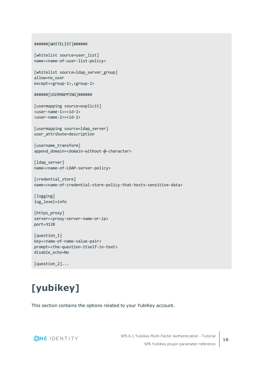```
######[WHITELIST]######
[whitelist source=user_list]
name=<name-of-user-list-policy>
[whitelist source=ldap_server_group]
allow=no_user
except=<group-1>,<group-2>
######[USERMAPPING]######
[usermapping source=explicit]
<user-name-1>=<id-1>
<user-name-2>=<id-2>
[usermapping source=ldap server]
user attribute=description
[username_transform]
append domain=<domain-without-@-character>
[ldap server]
name=<name-of-LDAP-server-policy>
[credential_store]
name=<name-of-credential-store-policy-that-hosts-sensitive-data>
[logging]
log_level=info
[https_proxy]
server=<proxy-server-name-or-ip>
port=3128
[question_1]
key=<name-of-name-value-pair>
```

```
prompt=<the-question-itself-in-text>
disable_echo=No
```
<span id="page-15-0"></span>[question\_2]...

# **[yubikey]**

This section contains the options related to your YubiKey account.

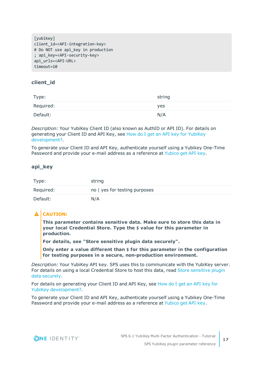```
[vubikev]
client_id=<API-integration-key>
# Do NOT use api key in production
; api_key=<API-security-key>
api_urls=<API-URL>
timeout=10
```
# **client\_id**

| Type:     | string |
|-----------|--------|
| Required: | yes    |
| Default:  | N/A    |

*Description:* Your YubiKey Client ID (also known as AuthID or API ID). For details on generating your Client ID and API Key, see How do I get an API key for [YubiKey](https://www.yubico.com/support/knowledge-base/categories/articles/get-api-key-yubikey-development/) [development?](https://www.yubico.com/support/knowledge-base/categories/articles/get-api-key-yubikey-development/).

To generate your Client ID and API Key, authenticate yourself using a Yubikey One-Time Password and provide your e-mail address as a reference at [Yubico](https://upgrade.yubico.com/getapikey/) get API key.

### **api\_key**

| Type:     | string                        |
|-----------|-------------------------------|
| Required: | no   yes for testing purposes |
| Default:  | N/A                           |

# **A** CAUTION:

**This parameter contains sensitive data. Make sure to store this data in your local Credential Store. Type the \$ value for this parameter in production.**

**For details, see "Store sensitive plugin data securely".**

**Only enter a value different than \$ for this parameter in the configuration for testing purposes in a secure, non-production environment.**

*Description:* Your YubiKey API key. SPS uses this to communicate with the YubiKey server. For details on using a local Credential Store to host this data, read Store [sensitive](#page-31-0) plugin data [securely](#page-31-0).

For details on generating your Client ID and API Key, see [How](https://www.yubico.com/support/knowledge-base/categories/articles/get-api-key-yubikey-development/) do I get an API key for YubiKey [development?.](https://www.yubico.com/support/knowledge-base/categories/articles/get-api-key-yubikey-development/)

To generate your Client ID and API Key, authenticate yourself using a Yubikey One-Time Password and provide your e-mail address as a reference at [Yubico](https://upgrade.yubico.com/getapikey/) get API key.

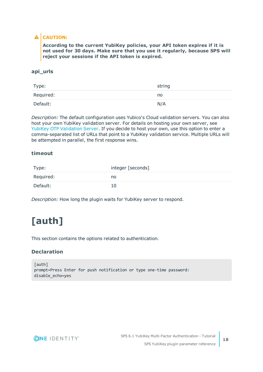# **A** CAUTION:

**According to the current YubiKey policies, your API token expires if it is not used for 30 days. Make sure that you use it regularly, because SPS will reject your sessions if the API token is expired.**

### **api\_urls**

| Type:     | string |
|-----------|--------|
| Required: | no     |
| Default:  | N/A    |

*Description:* The default configuration uses Yubico's Cloud validation servers. You can also host your own YubiKey validation server. For details on hosting your own server, see YubiKey OTP [Validation](https://developers.yubico.com/yubikey-val/) Server. If you decide to host your own, use this option to enter a comma-separated list of URLs that point to a YubiKey validation service. Multiple URLs will be attempted in parallel, the first response wins.

#### **timeout**

| Type:     | integer [seconds] |
|-----------|-------------------|
| Required: | no                |
| Default:  | 10                |

<span id="page-17-0"></span>*Description:* How long the plugin waits for YubiKey server to respond.

# **[auth]**

This section contains the options related to authentication.

# **Declaration**

[auth] prompt=Press Enter for push notification or type one-time password: disable\_echo=yes

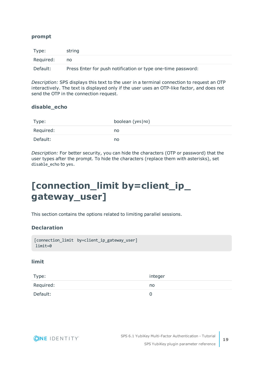### **prompt**

| Type:     | string                                                       |
|-----------|--------------------------------------------------------------|
| Required: | no                                                           |
| Default:  | Press Enter for push notification or type one-time password: |

*Description:* SPS displays this text to the user in a terminal connection to request an OTP interactively. The text is displayed only if the user uses an OTP-like factor, and does not send the OTP in the connection request.

#### **disable\_echo**

| Type:     | boolean (yes no) |
|-----------|------------------|
| Required: | no               |
| Default:  | no               |

*Description:* For better security, you can hide the characters (OTP or password) that the user types after the prompt. To hide the characters (replace them with asterisks), set disable\_echo to yes.

# <span id="page-18-0"></span>**[connection\_limit by=client\_ip\_ gateway\_user]**

This section contains the options related to limiting parallel sessions.

# **Declaration**

```
[connection_limit by=client_ip_gateway_user]
limit=0
```
#### **limit**

| Type:     | integer |
|-----------|---------|
| Required: | no      |
| Default:  |         |

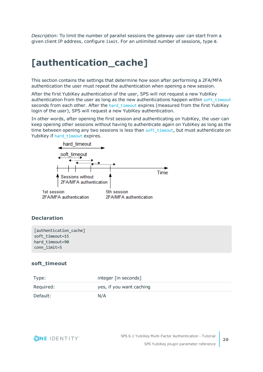*Description:* To limit the number of parallel sessions the gateway user can start from a given client IP address, configure limit. For an unlimited number of sessions, type 0.

# <span id="page-19-0"></span>**[authentication\_cache]**

This section contains the settings that determine how soon after performing a 2FA/MFA authentication the user must repeat the authentication when opening a new session.

After the first YubiKey authentication of the user, SPS will not request a new YubiKey authentication from the user as long as the new authentications happen within soft timeout seconds from each other. After the hard timeout expires (measured from the first YubiKey login of the user), SPS will request a new YubiKey authentication.

In other words, after opening the first session and authenticating on YubiKey, the user can keep opening other sessions without having to authenticate again on YubiKey as long as the time between opening any two sessions is less than soft timeout, but must authenticate on YubiKey if [hard\\_timeout](#page-20-1) expires.



### **Declaration**

```
[authentication_cache]
soft_timeout=15
hard_timeout=90
conn_limit=5
```
### <span id="page-19-1"></span>**soft\_timeout**

| Type:     | integer [in seconds]     |
|-----------|--------------------------|
| Required: | yes, if you want caching |
| Default:  | N/A                      |

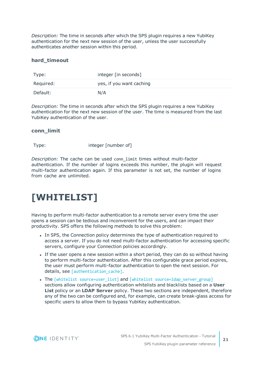*Description:* The time in seconds after which the SPS plugin requires a new YubiKey authentication for the next new session of the user, unless the user successfully authenticates another session within this period.

### <span id="page-20-1"></span>**hard\_timeout**

| Type:     | integer [in seconds]     |
|-----------|--------------------------|
| Required: | yes, if you want caching |
| Default:  | N/A                      |

*Description:* The time in seconds after which the SPS plugin requires a new YubiKey authentication for the next new session of the user. The time is measured from the last YubiKey authentication of the user.

#### **conn\_limit**

Type: Type: integer [number of]

*Description:* The cache can be used conn\_limit times without multi-factor authentication. If the number of logins exceeds this number, the plugin will request multi-factor authentication again. If this parameter is not set, the number of logins from cache are unlimited.

# <span id="page-20-0"></span>**[WHITELIST]**

Having to perform multi-factor authentication to a remote server every time the user opens a session can be tedious and inconvenient for the users, and can impact their productivity. SPS offers the following methods to solve this problem:

- In SPS, the Connection policy determines the type of authentication required to access a server. If you do not need multi-factor authentication for accessing specific servers, configure your Connection policies accordingly.
- If the user opens a new session within a short period, they can do so without having to perform multi-factor authentication. After this configurable grace period expires, the user must perform multi-factor authentication to open the next session. For details, see [authentication cache].
- The [whitelist source=user list] and [whitelist source=ldap server group] sections allow configuring authentication whitelists and blacklists based on a **User List** policy or an **LDAP Server** policy. These two sections are independent, therefore any of the two can be configured and, for example, can create break-glass access for specific users to allow them to bypass YubiKey authentication.

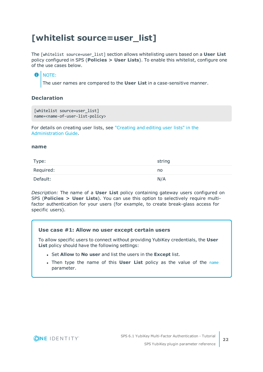# <span id="page-21-0"></span>**[whitelist source=user\_list]**

The [whitelist source=user\_list] section allows whitelisting users based on a **User List** policy configured in SPS (**Policies > User Lists**). To enable this whitelist, configure one of the use cases below.

# $\bullet$  NOTE:

The user names are compared to the **User List** in a case-sensitive manner.

# **Declaration**

```
[whitelist source=user list]
name=<name-of-user-list-policy>
```
For details on creating user lists, see ["Creating](https://support.oneidentity.com/technical-documents/safeguard-for-privileged-sessions/6.1.0/administration-guide/general-connection-settings/creating-and-editing-user-lists/) and editing user lists" in the [Administration](https://support.oneidentity.com/technical-documents/safeguard-for-privileged-sessions/6.1.0/administration-guide/general-connection-settings/creating-and-editing-user-lists/) Guide.

#### <span id="page-21-1"></span>**name**

| Type:     | string |
|-----------|--------|
| Required: | no     |
| Default:  | N/A    |

*Description:* The name of a **User List** policy containing gateway users configured on SPS (**Policies > User Lists**). You can use this option to selectively require multifactor authentication for your users (for example, to create break-glass access for specific users).

### **Use case #1: Allow no user except certain users**

To allow specific users to connect without providing YubiKey credentials, the **User List** policy should have the following settings:

- <sup>l</sup> Set **Allow** to **No user** and list the users in the **Except** list.
- <sup>l</sup> Then type the name of this **User List** policy as the value of the [name](#page-21-1) parameter.

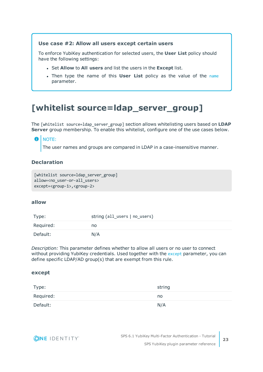### **Use case #2: Allow all users except certain users**

To enforce YubiKey authentication for selected users, the **User List** policy should have the following settings:

- <sup>l</sup> Set **Allow** to **All users** and list the users in the **Except** list.
- <sup>l</sup> Then type the name of this **User List** policy as the value of the [name](#page-21-1) parameter.

# <span id="page-22-0"></span>**[whitelist source=ldap\_server\_group]**

The [whitelist source=ldap\_server\_group] section allows whitelisting users based on **LDAP Server** group membership. To enable this whitelist, configure one of the use cases below.

#### 6 NOTE:

The user names and groups are compared in LDAP in a case-insensitive manner.

# **Declaration**

```
[whitelist source=ldap server group]
allow=<no_user-or-all_users>
except=<group-1>,<group-2>
```
### <span id="page-22-2"></span>**allow**

| Type:     | string (all_users   no_users) |
|-----------|-------------------------------|
| Required: | no                            |
| Default:  | N/A                           |

*Description:* This parameter defines whether to allow all users or no user to connect without providing YubiKey credentials. Used together with the [except](#page-22-1) parameter, you can define specific LDAP/AD group(s) that are exempt from this rule.

#### <span id="page-22-1"></span>**except**

| Type:     | string |
|-----------|--------|
| Required: | no     |
| Default:  | N/A    |

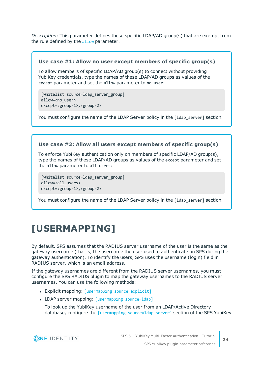*Description:* This parameter defines those specific LDAP/AD group(s) that are exempt from the rule defined by the [allow](#page-22-2) parameter.

#### **Use case #1: Allow no user except members of specific group(s)**

To allow members of specific LDAP/AD group(s) to connect without providing YubiKey credentials, type the names of these LDAP/AD groups as values of the except parameter and set the allow parameter to no\_user:

[whitelist source=ldap server group] allow=<no\_user> except=<group-1>,<group-2>

You must configure the name of the LDAP Server policy in the [1dap\_server] section.

### **Use case #2: Allow all users except members of specific group(s)**

To enforce YubiKey authentication only on members of specific LDAP/AD group(s), type the names of these LDAP/AD groups as values of the except parameter and set the allow parameter to all users:

[whitelist source=ldap server group] allow=<all users> except=<group-1>,<group-2>

You must configure the name of the LDAP Server policy in the [1dap\_server] section.

# <span id="page-23-0"></span>**[USERMAPPING]**

By default, SPS assumes that the RADIUS server username of the user is the same as the gateway username (that is, the username the user used to authenticate on SPS during the gateway authentication). To identify the users, SPS uses the username (login) field in RADIUS server, which is an email address.

If the gateway usernames are different from the RADIUS server usernames, you must configure the SPS RADIUS plugin to map the gateway usernames to the RADIUS server usernames. You can use the following methods:

- Explicit mapping: [usermapping [source=explicit\]](#page-24-0)
- LDAP server mapping: [\[usermapping](#page-25-0) source=ldap]

To look up the YubiKey username of the user from an LDAP/Active Directory database, configure the [usermapping [source=ldap\\_server\]](#page-25-0) section of the SPS YubiKey

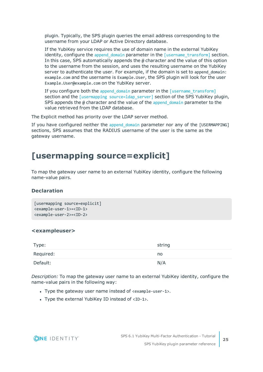plugin. Typically, the SPS plugin queries the email address corresponding to the username from your LDAP or Active Directory database.

If the YubiKey service requires the use of domain name in the external YubiKey identity, configure the [append\\_domain](#page-26-1) parameter in the [\[username\\_transform\]](#page-25-1) section. In this case, SPS automatically appends the @ character and the value of this option to the username from the session, and uses the resulting username on the YubiKey server to authenticate the user. For example, if the domain is set to append\_domain: example.com and the username is Example.User, the SPS plugin will look for the user Example.User@example.com on the YubiKey server.

If you configure both the [append\\_domain](#page-26-1) parameter in the [\[username\\_transform\]](#page-25-1) section and the [usermapping source=1dap\_server] section of the SPS YubiKey plugin, SPS appends the  $\omega$  character and the value of the append domain parameter to the value retrieved from the LDAP database.

The Explicit method has priority over the LDAP server method.

If you have configured neither the append domain parameter nor any of the [USERMAPPING] sections, SPS assumes that the RADIUS username of the user is the same as the gateway username.

# <span id="page-24-0"></span>**[usermapping source=explicit]**

To map the gateway user name to an external YubiKey identity, configure the following name-value pairs.

# **Declaration**

```
[usermapping source=explicit]
<example-user-1>=<ID-1>
<example-user-2>=<ID-2>
```
### **<exampleuser>**

| Type:     | string |
|-----------|--------|
| Required: | no     |
| Default:  | N/A    |

*Description:* To map the gateway user name to an external YubiKey identity, configure the name-value pairs in the following way:

- Type the gateway user name instead of  $\epsilon$  example-user-1>.
- Type the external YubiKey ID instead of  $\langle$ ID-1>.

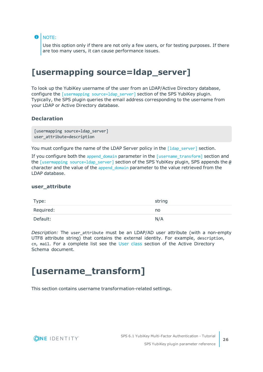O NOTE:

> Use this option only if there are not only a few users, or for testing purposes. If there are too many users, it can cause performance issues.

# <span id="page-25-0"></span>**[usermapping source=ldap\_server]**

To look up the YubiKey username of the user from an LDAP/Active Directory database, configure the [usermapping [source=ldap\\_server\]](#page-25-0) section of the SPS YubiKey plugin. Typically, the SPS plugin queries the email address corresponding to the username from your LDAP or Active Directory database.

### **Declaration**

[usermapping source=ldap server] user attribute=description

You must configure the name of the LDAP Server policy in the  $\lceil \text{ldap} \rceil$  section.

If you configure both the append domain parameter in the  $[$ username transform] section and the [usermapping [source=ldap\\_server\]](#page-25-0) section of the SPS YubiKey plugin, SPS appends the  $\omega$ character and the value of the append domain parameter to the value retrieved from the LDAP database.

#### **user\_attribute**

| Type:     | string |
|-----------|--------|
| Required: | no     |
| Default:  | N/A    |

*Description:* The user\_attribute must be an LDAP/AD user attribute (with a non-empty UTF8 attribute string) that contains the external identity. For example, description, cn, mail. For a complete list see the User [class](https://docs.microsoft.com/en-gb/windows/desktop/ADSchema/c-user) section of the Active Directory Schema document.

# <span id="page-25-1"></span>**[username\_transform]**

This section contains username transformation-related settings.

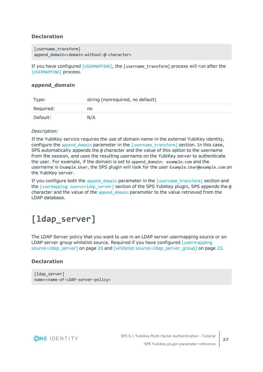# **Declaration**

```
[username transform]
append domain=<domain-without-@-character>
```
If you have configured [\[USERMAPPING\]](#page-23-0), the [username\_transform] process will run after the [\[USERMAPPING\]](#page-23-0) process.

### <span id="page-26-1"></span>**append\_domain**

| Type:     | string (nonrequired, no default) |
|-----------|----------------------------------|
| Required: | no                               |
| Default:  | N/A                              |

#### *Description:*

If the YubiKey service requires the use of domain name in the external YubiKey identity, configure the append domain parameter in the [\[username\\_transform\]](#page-25-1) section. In this case, SPS automatically appends the  $\omega$  character and the value of this option to the username from the session, and uses the resulting username on the YubiKey server to authenticate the user. For example, if the domain is set to append\_domain: example.com and the username is Example.User, the SPS plugin will look for the user Example.User@example.com on the YubiKey server.

If you configure both the [append\\_domain](#page-26-1) parameter in the [\[username\\_transform\]](#page-25-1) section and the [usermapping source=1dap\_server] section of the SPS YubiKey plugin, SPS appends the  $\omega$ character and the value of the append domain parameter to the value retrieved from the LDAP database.

# <span id="page-26-0"></span>**[ldap\_server]**

The LDAP Server policy that you want to use in an LDAP server usermapping source or an LDAP server group whitelist source. Required if you have configured [\[usermapping](#page-25-0)] [source=ldap\\_server\]](#page-25-0) on page 26 and [whitelist [source=ldap\\_server\\_group\]](#page-22-0) on page 23.

# **Declaration**

```
[ldap server]
name=<name-of-LDAP-server-policy>
```
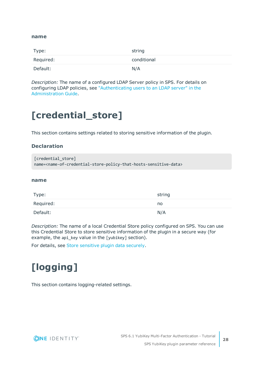#### **name**

| Type:     | string      |
|-----------|-------------|
| Required: | conditional |
| Default:  | N/A         |

*Description:* The name of a configured LDAP Server policy in SPS. For details on configuring LDAP policies, see ["Authenticating](https://support.oneidentity.com/technical-documents/safeguard-for-privileged-sessions/6.1.0/administration-guide/general-connection-settings/authenticating-users-to-an-ldap-server/) users to an LDAP server" in the [Administration](https://support.oneidentity.com/technical-documents/safeguard-for-privileged-sessions/6.1.0/administration-guide/general-connection-settings/authenticating-users-to-an-ldap-server/) Guide.

# <span id="page-27-0"></span>**[credential\_store]**

This section contains settings related to storing sensitive information of the plugin.

### **Declaration**

[credential\_store] name=<name-of-credential-store-policy-that-hosts-sensitive-data>

#### <span id="page-27-2"></span>**name**

| Type:     | string |
|-----------|--------|
| Required: | no     |
| Default:  | N/A    |

*Description:* The name of a local Credential Store policy configured on SPS. You can use this Credential Store to store sensitive information of the plugin in a secure way (for example, the api key value in the [yubikey] section).

<span id="page-27-1"></span>For details, see Store [sensitive](#page-31-0) plugin data securely.

# **[logging]**

This section contains logging-related settings.

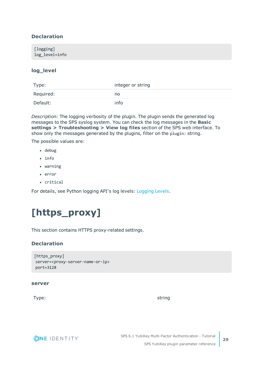# **Declaration**

| [logging]<br>log_level=info |  |  |
|-----------------------------|--|--|
|                             |  |  |

### **log\_level**

| Type:     | integer or string |
|-----------|-------------------|
| Required: | no                |
| Default:  | info              |

*Description:* The logging verbosity of the plugin. The plugin sends the generated log messages to the SPS syslog system. You can check the log messages in the **Basic settings > Troubleshooting > View log files** section of the SPS web interface. To show only the messages generated by the plugins, filter on the plugin: string.

The possible values are:

- debug
- $\cdot$  info
- $\bullet$  warning
- $\cdot$  error
- critical

<span id="page-28-0"></span>For details, see Python logging API's log levels: [Logging](https://docs.python.org/2/library/logging.html#logging-levels) Levels.

# **[https\_proxy]**

This section contains HTTPS proxy-related settings.

# **Declaration**

```
[https_proxy]
server=<proxy-server-name-or-ip>
port=3128
```
#### **server**

Type: which is a string string to the string string string in the string string  $\sim$ 

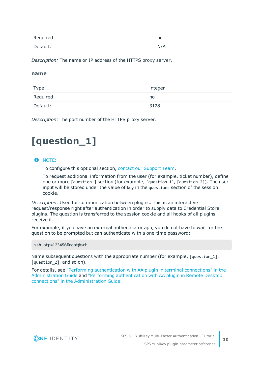| Required: | no  |
|-----------|-----|
| Default:  | N/A |

*Description:* The name or IP address of the HTTPS proxy server.

#### **name**

| Type:     | integer |
|-----------|---------|
| Required: | no      |
| Default:  | 3128    |

<span id="page-29-0"></span>*Description:* The port number of the HTTPS proxy server.

# **[question\_1]**

### $\bullet$  NOTE:

To configure this optional section, contact our [Support](https://support.oneidentity.com/one-identity-safeguard-for-privileged-sessions) Team.

To request additional information from the user (for example, ticket number), define one or more [question\_] section (for example, [question\_1], [question\_2]). The user input will be stored under the value of key in the questions section of the session cookie.

*Description:* Used for communication between plugins. This is an interactive request/response right after authentication in order to supply data to Credential Store plugins. The question is transferred to the session cookie and all hooks of all plugins receive it.

For example, if you have an external authenticator app, you do not have to wait for the question to be prompted but can authenticate with a one-time password:

ssh otp=123456@root@scb

Name subsequent questions with the appropriate number (for example, [question 1], [question 2], and so on).

For details, see "Performing [authentication](https://support.oneidentity.com/technical-documents/safeguard-for-privileged-sessions/6.1.0/administration-guide/advanced-authentication-and-authorization-techniques/integrating-external-authentication-and-authorization-systems/performing-authentication-with-aa-plugin-in-terminal-connections/) with AA plugin in terminal connections" in the [Administration](https://support.oneidentity.com/technical-documents/safeguard-for-privileged-sessions/6.1.0/administration-guide/advanced-authentication-and-authorization-techniques/integrating-external-authentication-and-authorization-systems/performing-authentication-with-aa-plugin-in-terminal-connections/) Guide and "Performing [authentication](https://support.oneidentity.com/technical-documents/safeguard-for-privileged-sessions/6.1.0/administration-guide/advanced-authentication-and-authorization-techniques/integrating-external-authentication-and-authorization-systems/performing-authentication-with-aa-plugin-in-remote-desktop-connections/) with AA plugin in Remote Desktop connections" in the [Administration](https://support.oneidentity.com/technical-documents/safeguard-for-privileged-sessions/6.1.0/administration-guide/advanced-authentication-and-authorization-techniques/integrating-external-authentication-and-authorization-systems/performing-authentication-with-aa-plugin-in-remote-desktop-connections/) Guide.

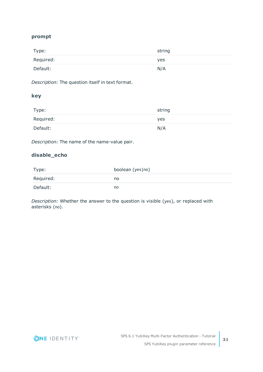### **prompt**

| Type:     | string |
|-----------|--------|
| Required: | yes    |
| Default:  | N/A    |

*Description:* The question itself in text format.

### **key**

| Type:     | string     |
|-----------|------------|
| Required: | <b>yes</b> |
| Default:  | N/A        |

*Description:* The name of the name-value pair.

### **disable\_echo**

| Type:     | boolean (yes   no) |
|-----------|--------------------|
| Required: | no                 |
| Default:  | no                 |

*Description:* Whether the answer to the question is visible (yes), or replaced with asterisks (no).

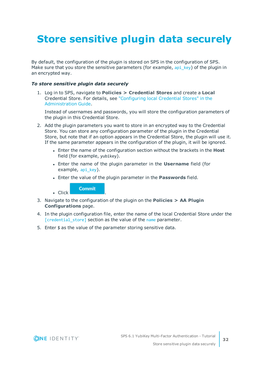# <span id="page-31-0"></span>**Store sensitive plugin data securely**

By default, the configuration of the plugin is stored on SPS in the configuration of SPS. Make sure that you store the sensitive parameters (for example, api key) of the plugin in an encrypted way.

#### *To store sensitive plugin data securely*

1. Log in to SPS, navigate to **Policies > Credential Stores** and create a **Local** Credential Store. For details, see ["Configuring](https://support.oneidentity.com/technical-documents/safeguard-for-privileged-sessions/6.1.0/administration-guide/advanced-authentication-and-authorization-techniques/using-credential-stores-for-server-side-authentication/configuring-local-credential-stores/) local Credential Stores" in the [Administration](https://support.oneidentity.com/technical-documents/safeguard-for-privileged-sessions/6.1.0/administration-guide/advanced-authentication-and-authorization-techniques/using-credential-stores-for-server-side-authentication/configuring-local-credential-stores/) Guide.

Instead of usernames and passwords, you will store the configuration parameters of the plugin in this Credential Store.

- 2. Add the plugin parameters you want to store in an encrypted way to the Credential Store. You can store any configuration parameter of the plugin in the Credential Store, but note that if an option appears in the Credential Store, the plugin will use it. If the same parameter appears in the configuration of the plugin, it will be ignored.
	- **.** Enter the name of the configuration section without the brackets in the Host field (for example, yubikey).
	- <sup>l</sup> Enter the name of the plugin parameter in the **Username** field (for example, api key).
	- <sup>l</sup> Enter the value of the plugin parameter in the **Passwords** field.

**Commit** 

 $\blacksquare$  Click

- 3. Navigate to the configuration of the plugin on the **Policies > AA Plugin Configurations** page.
- 4. In the plugin configuration file, enter the name of the local Credential Store under the [\[credential\\_store\]](#page-27-0) section as the value of the [name](#page-27-2) parameter.
- 5. Enter  $$$  as the value of the parameter storing sensitive data.

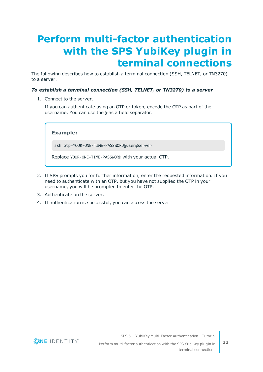# <span id="page-32-0"></span>**Perform multi-factor authentication with the SPS YubiKey plugin in terminal connections**

The following describes how to establish a terminal connection (SSH, TELNET, or TN3270) to a server.

### *To establish a terminal connection (SSH, TELNET, or TN3270) to a server*

1. Connect to the server.

If you can authenticate using an OTP or token, encode the OTP as part of the username. You can use the @ as a field separator.

**Example:**

ssh otp=YOUR-ONE-TIME-PASSWORD@user@server

Replace YOUR-ONE-TIME-PASSWORD with your actual OTP.

- 2. If SPS prompts you for further information, enter the requested information. If you need to authenticate with an OTP, but you have not supplied the OTP in your username, you will be prompted to enter the OTP.
- 3. Authenticate on the server.
- 4. If authentication is successful, you can access the server.



SPS 6.1 YubiKey Multi-Factor Authentication - Tutorial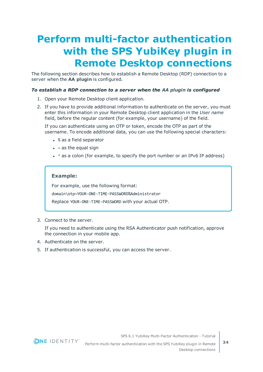# <span id="page-33-0"></span>**Perform multi-factor authentication with the SPS YubiKey plugin in Remote Desktop connections**

The following section describes how to establish a Remote Desktop (RDP) connection to a server when the **AA plugin** is configured.

### *To establish a RDP connection to a server when the AA plugin is configured*

- 1. Open your Remote Desktop client application.
- 2. If you have to provide additional information to authenticate on the server, you must enter this information in your Remote Desktop client application in the *User name* field, before the regular content (for example, your username) of the field.

If you can authenticate using an OTP or token, encode the OTP as part of the username. To encode additional data, you can use the following special characters:

- % as a field separator
- $\bullet$  ~ as the equal sign
- $\cdot$  ^ as a colon (for example, to specify the port number or an IPv6 IP address)

### **Example:**

For example, use the following format:

domain\otp~YOUR-ONE-TIME-PASSWORD%Administrator

Replace YOUR-ONE-TIME-PASSWORD with your actual OTP.

3. Connect to the server.

If you need to authenticate using the RSA Authenticator push notification, approve the connection in your mobile app.

- 4. Authenticate on the server.
- 5. If authentication is successful, you can access the server.



SPS 6.1 YubiKey Multi-Factor Authentication - Tutorial